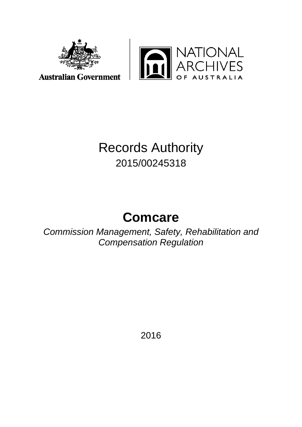



# Records Authority 2015/00245318

# **Comcare**

*Commission Management, Safety, Rehabilitation and Compensation Regulation*

2016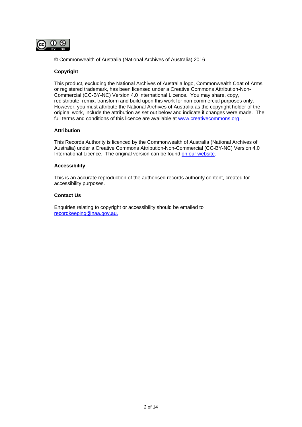

© Commonwealth of Australia (National Archives of Australia) 2016

#### **Copyright**

This product, excluding the National Archives of Australia logo, Commonwealth Coat of Arms or registered trademark, has been licensed under a Creative Commons Attribution-Non-Commercial (CC-BY-NC) Version 4.0 International Licence. You may share, copy, redistribute, remix, transform and build upon this work for non-commercial purposes only. However, you must attribute the National Archives of Australia as the copyright holder of the original work, include the attribution as set out below and indicate if changes were made. The full terms and conditions of this licence are available at [www.creativecommons.org](http://www.creativecommons.org/) .

#### **Attribution**

This Records Authority is licenced by the Commonwealth of Australia (National Archives of Australia) under a Creative Commons Attribution-Non-Commercial (CC-BY-NC) Version 4.0 International Licence. The original version can be found [on our website.](http://www.naa.gov.au/)

#### **Accessibility**

This is an accurate reproduction of the authorised records authority content, created for accessibility purposes.

#### **Contact Us**

Enquiries relating to copyright or accessibility should be emailed to [recordkeeping@naa.gov.au.](mailto:recordkeeping@naa.gov.au)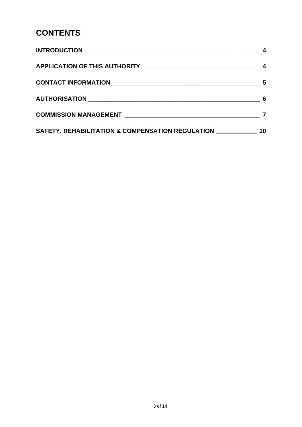# **CONTENTS**

|                                                                                                    | 5  |
|----------------------------------------------------------------------------------------------------|----|
|                                                                                                    | 6  |
|                                                                                                    |    |
| SAFETY, REHABILITATION & COMPENSATION REGULATION MARKETY, REHABILITATION & COMPENSATION REGULATION | 10 |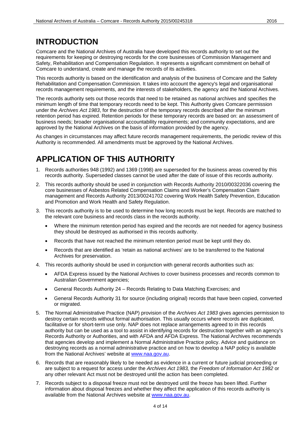### <span id="page-3-0"></span>**INTRODUCTION**

Comcare and the National Archives of Australia have developed this records authority to set out the requirements for keeping or destroying records for the core businesses of Commission Management and Safety, Rehabilitation and Compensation Regulation. It represents a significant commitment on behalf of Comcare to understand, create and manage the records of its activities.

This records authority is based on the identification and analysis of the business of Comcare and the Safety Rehabilitation and Compensation Commission. It takes into account the agency's legal and organisational records management requirements, and the interests of stakeholders, the agency and the National Archives.

The records authority sets out those records that need to be retained as national archives and specifies the minimum length of time that temporary records need to be kept. This Authority gives Comcare permission under the *Archives Act 1983*, for the destruction of the temporary records described after the minimum retention period has expired. Retention periods for these temporary records are based on: an assessment of business needs; broader organisational accountability requirements; and community expectations, and are approved by the National Archives on the basis of information provided by the agency.

As changes in circumstances may affect future records management requirements, the periodic review of this Authority is recommended. All amendments must be approved by the National Archives.

### <span id="page-3-1"></span>**APPLICATION OF THIS AUTHORITY**

- 1. Records authorities 948 (1992) and 1369 (1998) are superseded for the business areas covered by this records authority. Superseded classes cannot be used after the date of issue of this records authority.
- 2. This records authority should be used in conjunction with Records Authority 2010/00322036 covering the core businesses of Asbestos Related Compensation Claims and Worker's Compensation Claim management and Records Authority 2013/00241702 covering Work Health Safety Prevention, Education and Promotion and Work Health and Safety Regulation.
- 3. This records authority is to be used to determine how long records must be kept. Records are matched to the relevant core business and records class in the records authority.
	- Where the minimum retention period has expired and the records are not needed for agency business they should be destroyed as authorised in this records authority.
	- Records that have not reached the minimum retention period must be kept until they do.
	- Records that are identified as 'retain as national archives' are to be transferred to the National Archives for preservation.
- 4. This records authority should be used in conjunction with general records authorities such as:
	- AFDA Express issued by the National Archives to cover business processes and records common to Australian Government agencies;
	- General Records Authority 24 Records Relating to Data Matching Exercises; and
	- General Records Authority 31 for source (including original) records that have been copied, converted or migrated.
- 5. The Normal Administrative Practice (NAP) provision of the *Archives Act 1983* gives agencies permission to destroy certain records without formal authorisation. This usually occurs where records are duplicated, facilitative or for short-term use only. NAP does not replace arrangements agreed to in this records authority but can be used as a tool to assist in identifying records for destruction together with an agency's Records Authority or Authorities, and with AFDA and AFDA Express. The National Archives recommends that agencies develop and implement a Normal Administrative Practice policy. Advice and guidance on destroying records as a normal administrative practice and on how to develop a NAP policy is available from the National Archives' website at [www.naa.gov.au.](http://www.naa.gov.au/)
- 6. Records that are reasonably likely to be needed as evidence in a current or future judicial proceeding or are subject to a request for access under the *Archives Act 1983,* the *Freedom of Information Act 1982* or any other relevant Act must not be destroyed until the action has been completed.
- 7. Records subject to a disposal freeze must not be destroyed until the freeze has been lifted. Further information about disposal freezes and whether they affect the application of this records authority is available from the National Archives website at [www.naa.gov.au.](http://www.naa.gov.au/)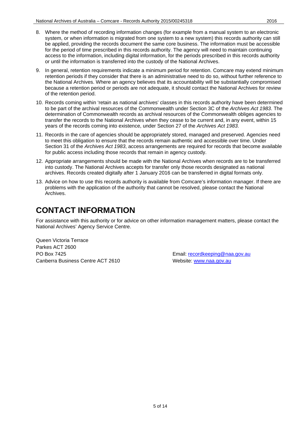- 8. Where the method of recording information changes (for example from a manual system to an electronic system, or when information is migrated from one system to a new system) this records authority can still be applied, providing the records document the same core business. The information must be accessible for the period of time prescribed in this records authority. The agency will need to maintain continuing access to the information, including digital information, for the periods prescribed in this records authority or until the information is transferred into the custody of the National Archives.
- 9. In general, retention requirements indicate a minimum period for retention. Comcare may extend minimum retention periods if they consider that there is an administrative need to do so, without further reference to the National Archives. Where an agency believes that its accountability will be substantially compromised because a retention period or periods are not adequate, it should contact the National Archives for review of the retention period.
- 10. Records coming within 'retain as national archives' classes in this records authority have been determined to be part of the archival resources of the Commonwealth under Section 3C of the *Archives Act 1983*. The determination of Commonwealth records as archival resources of the Commonwealth obliges agencies to transfer the records to the National Archives when they cease to be current and, in any event, within 15 years of the records coming into existence, under Section 27 of the *Archives Act 1983*.
- 11. Records in the care of agencies should be appropriately stored, managed and preserved. Agencies need to meet this obligation to ensure that the records remain authentic and accessible over time. Under Section 31 of the *Archives Act 1983*, access arrangements are required for records that become available for public access including those records that remain in agency custody.
- 12. Appropriate arrangements should be made with the National Archives when records are to be transferred into custody. The National Archives accepts for transfer only those records designated as national archives. Records created digitally after 1 January 2016 can be transferred in digital formats only.
- 13. Advice on how to use this records authority is available from Comcare's information manager. If there are problems with the application of the authority that cannot be resolved, please contact the National Archives.

### <span id="page-4-0"></span>**CONTACT INFORMATION**

For assistance with this authority or for advice on other information management matters, please contact the National Archives' Agency Service Centre.

Queen Victoria Terrace Parkes ACT 2600 PO Box 7425 **PO Box 7425** Email: [recordkeeping@naa.gov.au](mailto:recordkeeping@naa.gov.au) Canberra Business Centre ACT 2610 Website: [www.naa.gov.au](http://www.naa.gov.au/)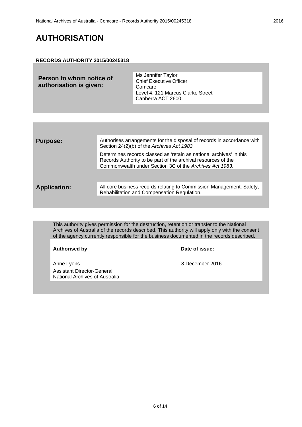### <span id="page-5-0"></span>**AUTHORISATION**

#### **RECORDS AUTHORITY 2015/00245318**

| Person to whom notice of<br>authorisation is given: | Ms Jennifer Taylor<br><b>Chief Executive Officer</b><br>Comcare<br>Level 4, 121 Marcus Clarke Street<br>Canberra ACT 2600 |
|-----------------------------------------------------|---------------------------------------------------------------------------------------------------------------------------|
|                                                     |                                                                                                                           |

| <b>Purpose:</b>     | Authorises arrangements for the disposal of records in accordance with<br>Section 24(2)(b) of the Archives Act 1983.                                                                            |
|---------------------|-------------------------------------------------------------------------------------------------------------------------------------------------------------------------------------------------|
|                     | Determines records classed as 'retain as national archives' in this<br>Records Authority to be part of the archival resources of the<br>Commonwealth under Section 3C of the Archives Act 1983. |
|                     |                                                                                                                                                                                                 |
| <b>Application:</b> | All core business records relating to Commission Management; Safety,<br>Rehabilitation and Compensation Regulation.                                                                             |

This authority gives permission for the destruction, retention or transfer to the National Archives of Australia of the records described. This authority will apply only with the consent of the agency currently responsible for the business documented in the records described.

**Authorised by** 

Anne Lyons 8 December 2016 Assistant Director-General National Archives of Australia

| Date of issue: |  |
|----------------|--|
|----------------|--|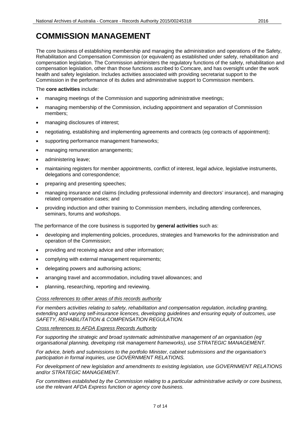### <span id="page-6-0"></span>**COMMISSION MANAGEMENT**

The core business of establishing membership and managing the administration and operations of the Safety, Rehabilitation and Compensation Commission (or equivalent) as established under safety, rehabilitation and compensation legislation. The Commission administers the regulatory functions of the safety, rehabilitation and compensation legislation, other than those functions ascribed to Comcare, and has oversight under the work health and safety legislation. Includes activities associated with providing secretariat support to the Commission in the performance of its duties and administrative support to Commission members.

The **core activities** include:

- managing meetings of the Commission and supporting administrative meetings;
- managing membership of the Commission, including appointment and separation of Commission members;
- managing disclosures of interest;
- negotiating, establishing and implementing agreements and contracts (eg contracts of appointment);
- supporting performance management frameworks;
- managing remuneration arrangements;
- administering leave;
- maintaining registers for member appointments, conflict of interest, legal advice, legislative instruments, delegations and correspondence;
- preparing and presenting speeches;
- managing insurance and claims (including professional indemnity and directors' insurance), and managing related compensation cases; and
- providing induction and other training to Commission members, including attending conferences, seminars, forums and workshops.

The performance of the core business is supported by **general activities** such as:

- developing and implementing policies, procedures, strategies and frameworks for the administration and operation of the Commission;
- providing and receiving advice and other information;
- complying with external management requirements;
- delegating powers and authorising actions;
- arranging travel and accommodation, including travel allowances; and
- planning, researching, reporting and reviewing.

#### *Cross references to other areas of this records authority*

*For members activities relating to safety, rehabilitation and compensation regulation, including granting, extending and varying self-insurance licences, developing guidelines and ensuring equity of outcomes, use SAFETY, REHABILITATION & COMPENSATION REGULATION.*

*Cross references to AFDA Express Records Authority*

*For supporting the strategic and broad systematic administrative management of an organisation (eg organisational planning, developing risk management frameworks), use STRATEGIC MANAGEMENT.* 

*For advice, briefs and submissions to the portfolio Minister, cabinet submissions and the organisation's participation in formal inquiries, use GOVERNMENT RELATIONS.*

*For development of new legislation and amendments to existing legislation, use GOVERNMENT RELATIONS and/or STRATEGIC MANAGEMENT.*

*For committees established by the Commission relating to a particular administrative activity or core business, use the relevant AFDA Express function or agency core business.*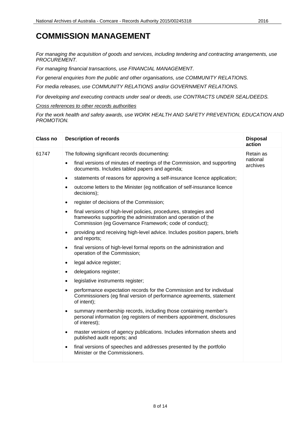### **COMMISSION MANAGEMENT**

*For managing the acquisition of goods and services, including tendering and contracting arrangements, use PROCUREMENT.*

*For managing financial transactions, use FINANCIAL MANAGEMENT.*

*For general enquiries from the public and other organisations, use COMMUNITY RELATIONS.*

*For media releases, use COMMUNITY RELATIONS and/or GOVERNMENT RELATIONS.*

*For developing and executing contracts under seal or deeds, use CONTRACTS UNDER SEAL/DEEDS.*

*Cross references to other records authorities*

*For the work health and safety awards, use WORK HEALTH AND SAFETY PREVENTION, EDUCATION AND PROMOTION.*

| Class no | <b>Description of records</b>                                                                                                                                                                                                                                                                                                                                                                                                                                                                                                                                                                                                                                                                                                                                                                                                                                                                                                                                                                                                                                                                                                                                                    | <b>Disposal</b><br>action         |
|----------|----------------------------------------------------------------------------------------------------------------------------------------------------------------------------------------------------------------------------------------------------------------------------------------------------------------------------------------------------------------------------------------------------------------------------------------------------------------------------------------------------------------------------------------------------------------------------------------------------------------------------------------------------------------------------------------------------------------------------------------------------------------------------------------------------------------------------------------------------------------------------------------------------------------------------------------------------------------------------------------------------------------------------------------------------------------------------------------------------------------------------------------------------------------------------------|-----------------------------------|
| 61747    | The following significant records documenting:<br>final versions of minutes of meetings of the Commission, and supporting<br>$\bullet$<br>documents. Includes tabled papers and agenda;<br>statements of reasons for approving a self-insurance licence application;<br>$\bullet$<br>outcome letters to the Minister (eg notification of self-insurance licence<br>٠<br>decisions);<br>register of decisions of the Commission;<br>$\bullet$                                                                                                                                                                                                                                                                                                                                                                                                                                                                                                                                                                                                                                                                                                                                     | Retain as<br>national<br>archives |
|          | final versions of high-level policies, procedures, strategies and<br>$\bullet$<br>frameworks supporting the administration and operation of the<br>Commission (eg Governance Framework; code of conduct);<br>providing and receiving high-level advice. Includes position papers, briefs<br>$\bullet$<br>and reports;<br>final versions of high-level formal reports on the administration and<br>$\bullet$<br>operation of the Commission;<br>legal advice register;<br>$\bullet$<br>delegations register;<br>$\bullet$<br>legislative instruments register;<br>$\bullet$<br>performance expectation records for the Commission and for individual<br>$\bullet$<br>Commissioners (eg final version of performance agreements, statement<br>of intent);<br>summary membership records, including those containing member's<br>$\bullet$<br>personal information (eg registers of members appointment, disclosures<br>of interest);<br>master versions of agency publications. Includes information sheets and<br>$\bullet$<br>published audit reports; and<br>final versions of speeches and addresses presented by the portfolio<br>$\bullet$<br>Minister or the Commissioners. |                                   |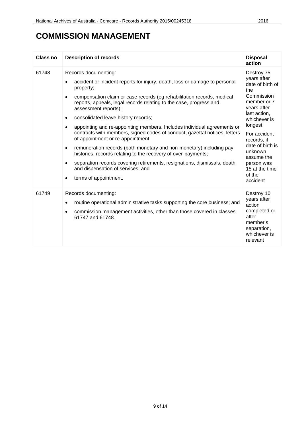### **COMMISSION MANAGEMENT**

| Class no | <b>Description of records</b>                                                                                                                                                                                                                                                                                                                                                                                                                                                                                                                                                                                                                                                                                                                                                                                                                                                   | <b>Disposal</b><br>action                                                                                                                                                                                                                                                     |
|----------|---------------------------------------------------------------------------------------------------------------------------------------------------------------------------------------------------------------------------------------------------------------------------------------------------------------------------------------------------------------------------------------------------------------------------------------------------------------------------------------------------------------------------------------------------------------------------------------------------------------------------------------------------------------------------------------------------------------------------------------------------------------------------------------------------------------------------------------------------------------------------------|-------------------------------------------------------------------------------------------------------------------------------------------------------------------------------------------------------------------------------------------------------------------------------|
| 61748    | Records documenting:<br>accident or incident reports for injury, death, loss or damage to personal<br>property;<br>compensation claim or case records (eg rehabilitation records, medical<br>$\bullet$<br>reports, appeals, legal records relating to the case, progress and<br>assessment reports);<br>consolidated leave history records;<br>$\bullet$<br>appointing and re-appointing members. Includes individual agreements or<br>$\bullet$<br>contracts with members, signed codes of conduct, gazettal notices, letters<br>of appointment or re-appointment;<br>remuneration records (both monetary and non-monetary) including pay<br>$\bullet$<br>histories, records relating to the recovery of over-payments;<br>separation records covering retirements, resignations, dismissals, death<br>and dispensation of services; and<br>terms of appointment.<br>$\bullet$ | Destroy 75<br>years after<br>date of birth of<br>the<br>Commission<br>member or 7<br>years after<br>last action,<br>whichever is<br>longest<br>For accident<br>records, if<br>date of birth is<br>unknown<br>assume the<br>person was<br>15 at the time<br>of the<br>accident |
| 61749    | Records documenting:<br>routine operational administrative tasks supporting the core business; and<br>$\bullet$<br>commission management activities, other than those covered in classes<br>$\bullet$<br>61747 and 61748.                                                                                                                                                                                                                                                                                                                                                                                                                                                                                                                                                                                                                                                       | Destroy 10<br>years after<br>action<br>completed or<br>after<br>member's<br>separation,<br>whichever is<br>relevant                                                                                                                                                           |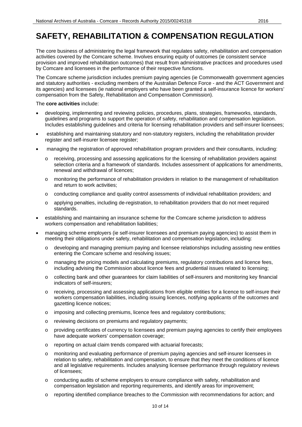<span id="page-9-0"></span>The core business of administering the legal framework that regulates safety, rehabilitation and compensation activities covered by the Comcare scheme. Involves ensuring equity of outcomes (ie consistent service provision and improved rehabilitation outcomes) that result from administrative practices and procedures used by Comcare and licensees in the performance of their respective functions.

The Comcare scheme jurisdiction includes premium paying agencies (ie Commonwealth government agencies and statutory authorities - excluding members of the Australian Defence Force - and the ACT Government and its agencies) and licensees (ie national employers who have been granted a self-insurance licence for workers' compensation from the Safety, Rehabilitation and Compensation Commission).

#### The **core activities** include:

- developing, implementing and reviewing policies, procedures, plans, strategies, frameworks, standards, guidelines and programs to support the operation of safety, rehabilitation and compensation legislation. Includes establishing guidelines and criteria for licensing rehabilitation providers and self-insurer licensees;
- establishing and maintaining statutory and non-statutory registers, including the rehabilitation provider register and self-insurer licensee register;
- managing the registration of approved rehabilitation program providers and their consultants, including:
	- o receiving, processing and assessing applications for the licensing of rehabilitation providers against selection criteria and a framework of standards. Includes assessment of applications for amendments, renewal and withdrawal of licences;
	- $\circ$  monitoring the performance of rehabilitation providers in relation to the management of rehabilitation and return to work activities;
	- o conducting compliance and quality control assessments of individual rehabilitation providers; and
	- o applying penalties, including de-registration, to rehabilitation providers that do not meet required standards.
- establishing and maintaining an insurance scheme for the Comcare scheme jurisdiction to address workers compensation and rehabilitation liabilities;
- managing scheme employers (ie self-insurer licensees and premium paying agencies) to assist them in meeting their obligations under safety, rehabilitation and compensation legislation, including:
	- o developing and managing premium paying and licensee relationships including assisting new entities entering the Comcare scheme and resolving issues;
	- o managing the pricing models and calculating premiums, regulatory contributions and licence fees, including advising the Commission about licence fees and prudential issues related to licensing;
	- o collecting bank and other guarantees for claim liabilities of self-insurers and monitoring key financial indicators of self-insurers;
	- o receiving, processing and assessing applications from eligible entities for a licence to self-insure their workers compensation liabilities, including issuing licences, notifying applicants of the outcomes and gazetting licence notices;
	- o imposing and collecting premiums, licence fees and regulatory contributions;
	- o reviewing decisions on premiums and regulatory payments;
	- o providing certificates of currency to licensees and premium paying agencies to certify their employees have adequate workers' compensation coverage;
	- o reporting on actual claim trends compared with actuarial forecasts;
	- o monitoring and evaluating performance of premium paying agencies and self-insurer licensees in relation to safety, rehabilitation and compensation, to ensure that they meet the conditions of licence and all legislative requirements. Includes analysing licensee performance through regulatory reviews of licensees;
	- o conducting audits of scheme employers to ensure compliance with safety, rehabilitation and compensation legislation and reporting requirements, and identify areas for improvement;
	- o reporting identified compliance breaches to the Commission with recommendations for action; and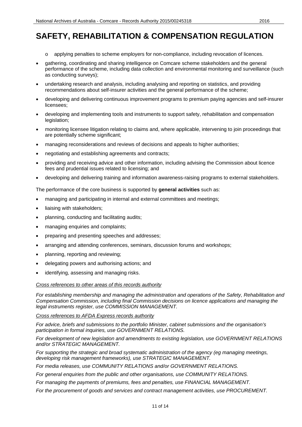- o applying penalties to scheme employers for non-compliance, including revocation of licences.
- gathering, coordinating and sharing intelligence on Comcare scheme stakeholders and the general performance of the scheme, including data collection and environmental monitoring and surveillance (such as conducting surveys);
- undertaking research and analysis, including analysing and reporting on statistics, and providing recommendations about self-insurer activities and the general performance of the scheme;
- developing and delivering continuous improvement programs to premium paying agencies and self-insurer licensees;
- developing and implementing tools and instruments to support safety, rehabilitation and compensation legislation;
- monitoring licensee litigation relating to claims and, where applicable, intervening to join proceedings that are potentially scheme significant;
- managing reconsiderations and reviews of decisions and appeals to higher authorities;
- negotiating and establishing agreements and contracts;
- providing and receiving advice and other information, including advising the Commission about licence fees and prudential issues related to licensing; and
- developing and delivering training and information awareness-raising programs to external stakeholders.

The performance of the core business is supported by **general activities** such as:

- managing and participating in internal and external committees and meetings;
- liaising with stakeholders;
- planning, conducting and facilitating audits;
- managing enquiries and complaints;
- preparing and presenting speeches and addresses;
- arranging and attending conferences, seminars, discussion forums and workshops;
- planning, reporting and reviewing;
- delegating powers and authorising actions; and
- identifying, assessing and managing risks.

#### *Cross references to other areas of this records authority*

*For establishing membership and managing the administration and operations of the Safety, Rehabilitation and Compensation Commission, including final Commission decisions on licence applications and managing the legal instruments register, use COMMISSION MANAGEMENT.*

*Cross references to AFDA Express records authority*

*For advice, briefs and submissions to the portfolio Minister, cabinet submissions and the organisation's participation in formal inquiries, use GOVERNMENT RELATIONS.*

*For development of new legislation and amendments to existing legislation, use GOVERNMENT RELATIONS and/or STRATEGIC MANAGEMENT.*

*For supporting the strategic and broad systematic administration of the agency (eg managing meetings, developing risk management frameworks), use STRATEGIC MANAGEMENT.*

*For media releases, use COMMUNITY RELATIONS and/or GOVERNMENT RELATIONS.*

*For general enquiries from the public and other organisations, use COMMUNITY RELATIONS.*

*For managing the payments of premiums, fees and penalties, use FINANCIAL MANAGEMENT.*

*For the procurement of goods and services and contract management activities, use PROCUREMENT.*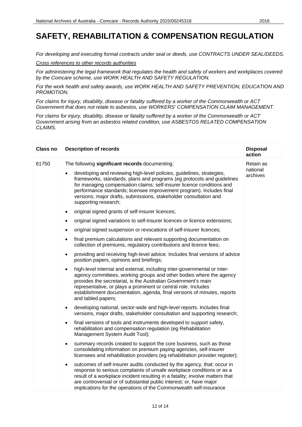*For developing and executing formal contracts under seal or deeds, use CONTRACTS UNDER SEAL/DEEDS.*

*Cross references to other records authorities*

*For administering the legal framework that regulates the health and safety of workers and workplaces covered by the Comcare scheme, use WORK HEALTH AND SAFETY REGULATION.*

*For the work health and safety awards, use WORK HEALTH AND SAFETY PREVENTION, EDUCATION AND PROMOTION.*

*For claims for injury, disability, disease or fatality suffered by a worker of the Commonwealth or ACT Government that does not relate to asbestos, use WORKERS' COMPENSATION CLAIM MANAGEMENT.*

*For claims for injury, disability, disease or fatality suffered by a worker of the Commonwealth or ACT Government arising from an asbestos related condition, use ASBESTOS RELATED COMPENSATION CLAIMS.*

| <b>Class no</b> | <b>Description of records</b>                                                                                                                                                                                                                                                                                                                                                                              | <b>Disposal</b><br>action |
|-----------------|------------------------------------------------------------------------------------------------------------------------------------------------------------------------------------------------------------------------------------------------------------------------------------------------------------------------------------------------------------------------------------------------------------|---------------------------|
| 61750           | The following significant records documenting:                                                                                                                                                                                                                                                                                                                                                             | Retain as                 |
|                 | developing and reviewing high-level policies, guidelines, strategies,<br>$\bullet$<br>frameworks, standards, plans and programs (eg protocols and guidelines<br>for managing compensation claims; self-insurer licence conditions and<br>performance standards; licensee improvement program). Includes final<br>versions, major drafts, submissions, stakeholder consultation and<br>supporting research; | national<br>archives      |
|                 | original signed grants of self-insurer licences;<br>$\bullet$                                                                                                                                                                                                                                                                                                                                              |                           |
|                 | original signed variations to self-insurer licences or licence extensions;<br>$\bullet$                                                                                                                                                                                                                                                                                                                    |                           |
|                 | original signed suspension or revocations of self-insurer licences;                                                                                                                                                                                                                                                                                                                                        |                           |
|                 | final premium calculations and relevant supporting documentation on<br>$\bullet$<br>collection of premiums, regulatory contributions and licence fees;                                                                                                                                                                                                                                                     |                           |
|                 | providing and receiving high-level advice. Includes final versions of advice<br>$\bullet$<br>position papers, opinions and briefings;                                                                                                                                                                                                                                                                      |                           |
|                 | high-level internal and external, including inter-governmental or inter-<br>$\bullet$<br>agency committees, working groups and other bodies where the agency<br>provides the secretariat, is the Australian Government's main<br>representative, or plays a prominent or central role. Includes<br>establishment documentation, agenda, final versions of minutes, reports<br>and tabled papers;           |                           |
|                 | developing national, sector-wide and high-level reports. Includes final<br>$\bullet$<br>versions, major drafts, stakeholder consultation and supporting research;                                                                                                                                                                                                                                          |                           |
|                 | final versions of tools and instruments developed to support safety,<br>$\bullet$<br>rehabilitation and compensation regulation (eg Rehabilitation<br>Management System Audit Tool);                                                                                                                                                                                                                       |                           |
|                 | summary records created to support the core business, such as those<br>$\bullet$<br>consolidating information on premium paying agencies, self-insurer<br>licensees and rehabilitation providers (eg rehabilitation provider register);                                                                                                                                                                    |                           |
|                 | outcomes of self-insurer audits conducted by the agency, that: occur in<br>$\bullet$<br>response to serious complaints of unsafe workplace conditions or as a<br>result of a workplace incident resulting in a fatality; involve matters that<br>are controversial or of substantial public interest; or, have major<br>implications for the operations of the Commonwealth self-insurance                 |                           |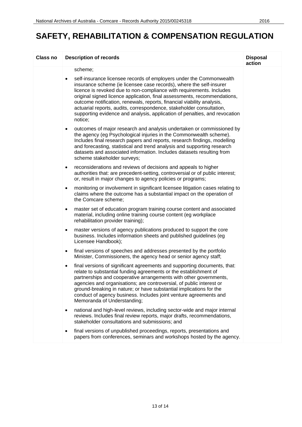| Class no | <b>Description of records</b>                                                                                                                                                                                                                                                                                                                                                                                                                                                                                                                          | <b>Disposal</b><br>action |
|----------|--------------------------------------------------------------------------------------------------------------------------------------------------------------------------------------------------------------------------------------------------------------------------------------------------------------------------------------------------------------------------------------------------------------------------------------------------------------------------------------------------------------------------------------------------------|---------------------------|
|          | scheme;                                                                                                                                                                                                                                                                                                                                                                                                                                                                                                                                                |                           |
|          | self-insurance licensee records of employers under the Commonwealth<br>$\bullet$<br>insurance scheme (ie licensee case records), where the self-insurer<br>licence is revoked due to non-compliance with requirements. Includes<br>original signed licence application, final assessments, recommendations,<br>outcome notification, renewals, reports, financial viability analysis,<br>actuarial reports, audits, correspondence, stakeholder consultation,<br>supporting evidence and analysis, application of penalties, and revocation<br>notice; |                           |
|          | outcomes of major research and analysis undertaken or commissioned by<br>$\bullet$<br>the agency (eg Psychological injuries in the Commonwealth scheme).<br>Includes final research papers and reports, research findings, modelling<br>and forecasting, statistical and trend analysis and supporting research<br>datasets and associated information. Includes datasets resulting from<br>scheme stakeholder surveys;                                                                                                                                |                           |
|          | reconsiderations and reviews of decisions and appeals to higher<br>$\bullet$<br>authorities that: are precedent-setting, controversial or of public interest;<br>or, result in major changes to agency policies or programs;                                                                                                                                                                                                                                                                                                                           |                           |
|          | monitoring or involvement in significant licensee litigation cases relating to<br>$\bullet$<br>claims where the outcome has a substantial impact on the operation of<br>the Comcare scheme;                                                                                                                                                                                                                                                                                                                                                            |                           |
|          | master set of education program training course content and associated<br>$\bullet$<br>material, including online training course content (eg workplace<br>rehabilitation provider training);                                                                                                                                                                                                                                                                                                                                                          |                           |
|          | master versions of agency publications produced to support the core<br>$\bullet$<br>business. Includes information sheets and published guidelines (eg<br>Licensee Handbook);                                                                                                                                                                                                                                                                                                                                                                          |                           |
|          | final versions of speeches and addresses presented by the portfolio<br>$\bullet$<br>Minister, Commissioners, the agency head or senior agency staff;                                                                                                                                                                                                                                                                                                                                                                                                   |                           |
|          | final versions of significant agreements and supporting documents, that:<br>$\bullet$<br>relate to substantial funding agreements or the establishment of<br>partnerships and cooperative arrangements with other governments,<br>agencies and organisations; are controversial, of public interest or<br>ground-breaking in nature; or have substantial implications for the<br>conduct of agency business. Includes joint venture agreements and<br>Memoranda of Understanding;                                                                      |                           |
|          | national and high-level reviews, including sector-wide and major internal<br>$\bullet$<br>reviews. Includes final review reports, major drafts, recommendations,<br>stakeholder consultations and submissions; and                                                                                                                                                                                                                                                                                                                                     |                           |
|          | final versions of unpublished proceedings, reports, presentations and<br>٠<br>papers from conferences, seminars and workshops hosted by the agency.                                                                                                                                                                                                                                                                                                                                                                                                    |                           |